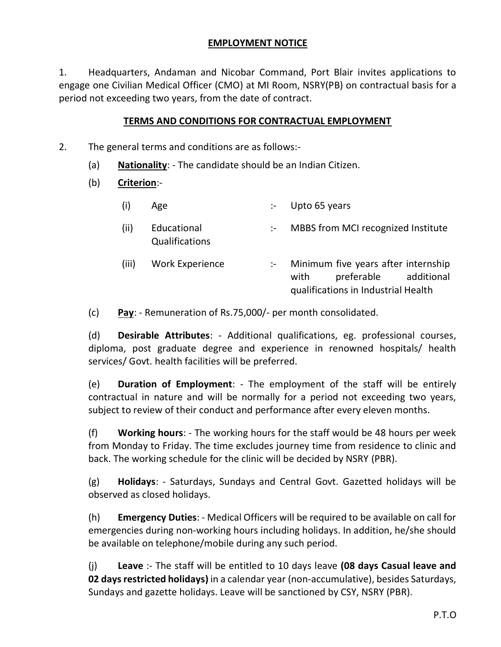### **EMPLOYMENT NOTICE**

1. Headquarters, Andaman and Nicobar Command, Port Blair invites applications to engage one Civilian Medical Officer (CMO) at MI Room, NSRY(PB) on contractual basis for a period not exceeding two years, from the date of contract.

### **TERMS AND CONDITIONS FOR CONTRACTUAL EMPLOYMENT**

- 2. The general terms and conditions are as follows:-
	- (a) **Nationality**: The candidate should be an Indian Citizen.
	- (b) **Criterion**:-
		- (i) Age :- Upto 65 years (ii) Educational Qualifications :- MBBS from MCI recognized Institute (iii) Work Experience :- Minimum five years after internship with preferable additional

qualifications in Industrial Health

(c) **Pay**: - Remuneration of Rs.75,000/- per month consolidated.

(d) **Desirable Attributes**: - Additional qualifications, eg. professional courses, diploma, post graduate degree and experience in renowned hospitals/ health services/ Govt. health facilities will be preferred.

(e) **Duration of Employment**: - The employment of the staff will be entirely contractual in nature and will be normally for a period not exceeding two years, subject to review of their conduct and performance after every eleven months.

(f) **Working hours**: - The working hours for the staff would be 48 hours per week from Monday to Friday. The time excludes journey time from residence to clinic and back. The working schedule for the clinic will be decided by NSRY (PBR).

(g) **Holidays**: - Saturdays, Sundays and Central Govt. Gazetted holidays will be observed as closed holidays.

(h) **Emergency Duties**: - Medical Officers will be required to be available on call for emergencies during non-working hours including holidays. In addition, he/she should be available on telephone/mobile during any such period.

(j) **Leave** :- The staff will be entitled to 10 days leave **(08 days Casual leave and 02 days restricted holidays)** in a calendar year (non-accumulative), besides Saturdays, Sundays and gazette holidays. Leave will be sanctioned by CSY, NSRY (PBR).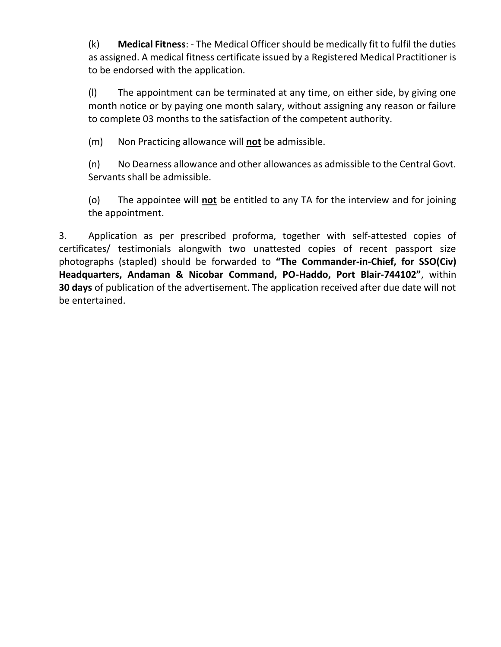(k) **Medical Fitness**: - The Medical Officer should be medically fit to fulfil the duties as assigned. A medical fitness certificate issued by a Registered Medical Practitioner is to be endorsed with the application.

(l) The appointment can be terminated at any time, on either side, by giving one month notice or by paying one month salary, without assigning any reason or failure to complete 03 months to the satisfaction of the competent authority.

(m) Non Practicing allowance will **not** be admissible.

(n) No Dearness allowance and other allowances as admissible to the Central Govt. Servants shall be admissible.

(o) The appointee will **not** be entitled to any TA for the interview and for joining the appointment.

3. Application as per prescribed proforma, together with self-attested copies of certificates/ testimonials alongwith two unattested copies of recent passport size photographs (stapled) should be forwarded to **"The Commander-in-Chief, for SSO(Civ) Headquarters, Andaman & Nicobar Command, PO-Haddo, Port Blair-744102"**, within **30 days** of publication of the advertisement. The application received after due date will not be entertained.